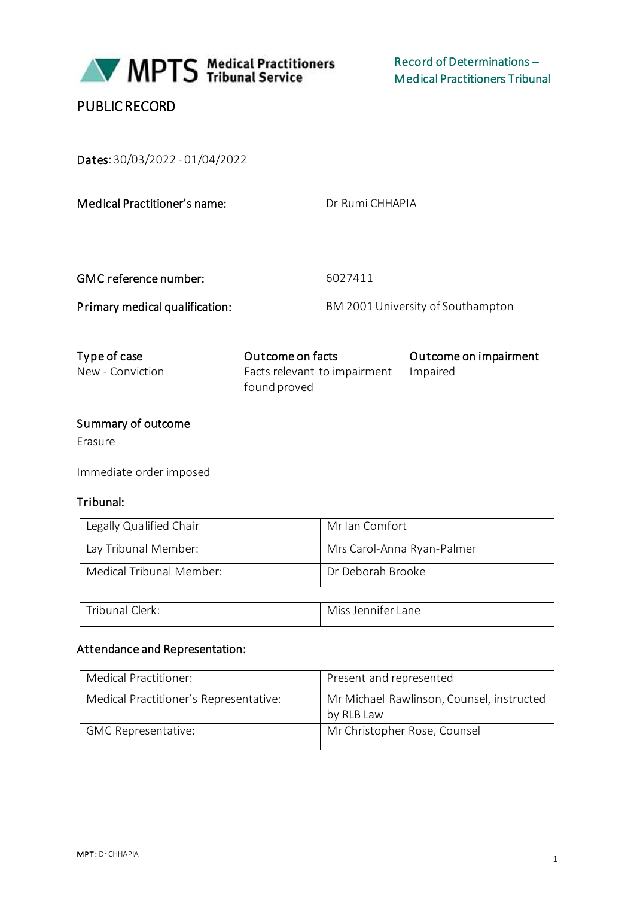

# PUBLIC RECORD

Dates: 30/03/2022 - 01/04/2022

Dr Rumi CHHAPIA

GMC reference number: 6027411

Primary medical qualification: BM 2001 University of Southampton

| Type of case     | Outcome on facts                      | Outcome on impairment |
|------------------|---------------------------------------|-----------------------|
| New - Conviction | Facts relevant to impairment Impaired |                       |
|                  | found proved                          |                       |

# Summary of outcome

Erasure

Immediate order imposed

#### Tribunal:

| Legally Qualified Chair  | Mr Ian Comfort             |
|--------------------------|----------------------------|
| Lay Tribunal Member:     | Mrs Carol-Anna Ryan-Palmer |
| Medical Tribunal Member: | Dr Deborah Brooke          |

|  | Trihunai ∈.<br><i>A</i> icc<br>llerk.<br>v | Lane<br>tenniter i |
|--|--------------------------------------------|--------------------|
|--|--------------------------------------------|--------------------|

## Attendance and Representation:

| Medical Practitioner:                  | Present and represented                                 |
|----------------------------------------|---------------------------------------------------------|
| Medical Practitioner's Representative: | Mr Michael Rawlinson, Counsel, instructed<br>by RLB Law |
| <b>GMC Representative:</b>             | Mr Christopher Rose, Counsel                            |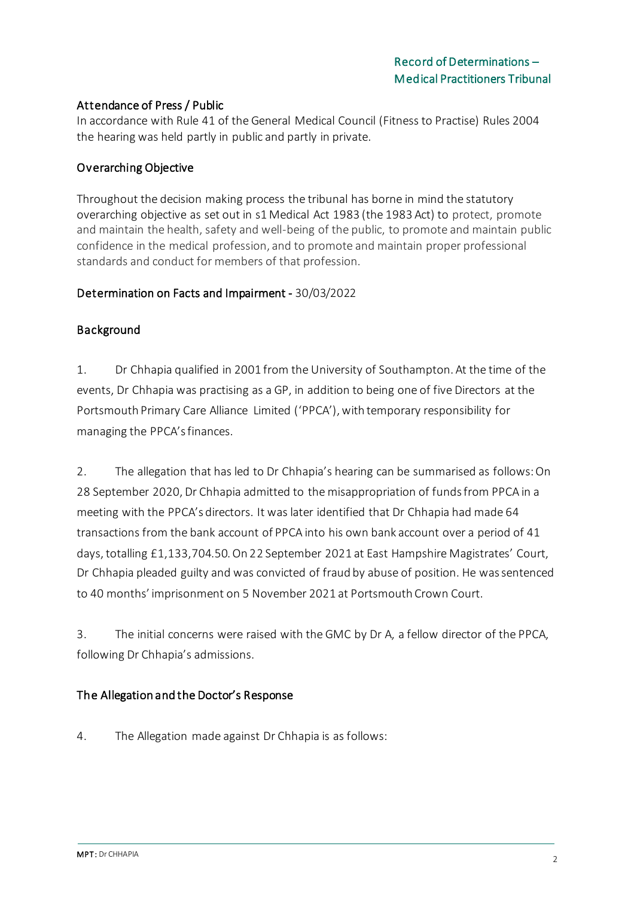## Attendance of Press / Public

In accordance with Rule 41 of the General Medical Council (Fitness to Practise) Rules 2004 the hearing was held partly in public and partly in private.

## Overarching Objective

Throughout the decision making process the tribunal has borne in mind the statutory overarching objective as set out in s1 Medical Act 1983 (the 1983 Act) to protect, promote and maintain the health, safety and well-being of the public, to promote and maintain public confidence in the medical profession, and to promote and maintain proper professional standards and conduct for members of that profession.

#### Determination on Facts and Impairment - 30/03/2022

#### Background

1. Dr Chhapia qualified in 2001 from the University of Southampton. At the time of the events, Dr Chhapia was practising as a GP, in addition to being one of five Directors at the Portsmouth Primary Care Alliance Limited ('PPCA'), with temporary responsibility for managing the PPCA's finances.

2. The allegation that has led to Dr Chhapia's hearing can be summarised as follows: On 28 September 2020, Dr Chhapia admitted to the misappropriation of funds from PPCA in a meeting with the PPCA's directors. It was later identified that Dr Chhapia had made 64 transactions from the bank account of PPCA into his own bank account over a period of 41 days, totalling £1,133,704.50. On 22 September 2021 at East Hampshire Magistrates' Court, Dr Chhapia pleaded guilty and was convicted of fraud by abuse of position. He was sentenced to 40 months' imprisonment on 5 November 2021 at Portsmouth Crown Court.

3. The initial concerns were raised with the GMC by Dr A, a fellow director of the PPCA, following Dr Chhapia's admissions.

#### The Allegation and the Doctor's Response

4. The Allegation made against Dr Chhapia is as follows: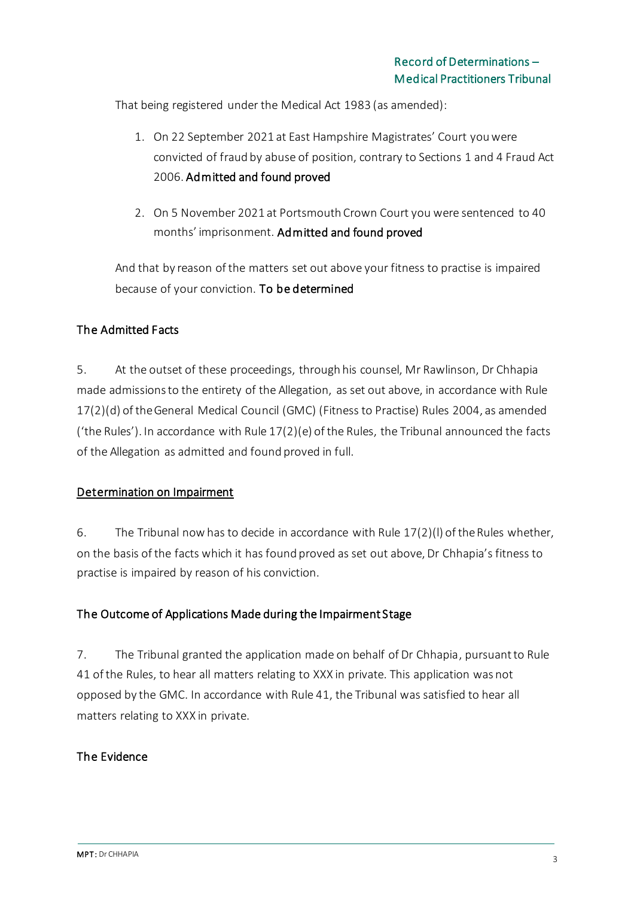That being registered under the Medical Act 1983 (as amended):

- 1. On 22 September 2021 at East Hampshire Magistrates' Court you were convicted of fraud by abuse of position, contrary to Sections 1 and 4 Fraud Act 2006. Admitted and found proved
- 2. On 5 November 2021 at Portsmouth Crown Court you were sentenced to 40 months' imprisonment. Admitted and found proved

And that by reason of the matters set out above your fitness to practise is impaired because of your conviction. To be determined

# The Admitted Facts

5. At the outset of these proceedings, through his counsel, Mr Rawlinson, Dr Chhapia made admissions to the entirety of the Allegation, as set out above, in accordance with Rule 17(2)(d) of the General Medical Council (GMC) (Fitness to Practise) Rules 2004, as amended ('the Rules'). In accordance with Rule 17(2)(e) of the Rules, the Tribunal announced the facts of the Allegation as admitted and found proved in full.

#### Determination on Impairment

6. The Tribunal now has to decide in accordance with Rule 17(2)(l) of the Rules whether, on the basis of the facts which it has found proved as set out above, Dr Chhapia's fitness to practise is impaired by reason of his conviction.

#### The Outcome of Applications Made during the Impairment Stage

7. The Tribunal granted the application made on behalf of Dr Chhapia, pursuant to Rule 41 of the Rules, to hear all matters relating to XXX in private. This application was not opposed by the GMC. In accordance with Rule 41, the Tribunal was satisfied to hear all matters relating to XXX in private.

#### The Evidence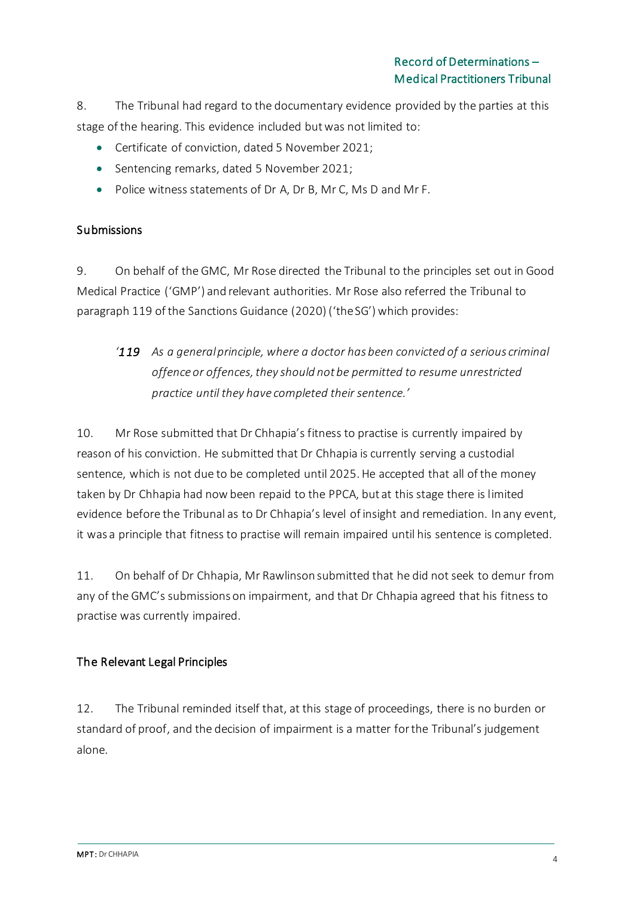8. The Tribunal had regard to the documentary evidence provided by the parties at this stage of the hearing. This evidence included but was not limited to:

- Certificate of conviction, dated 5 November 2021;
- Sentencing remarks, dated 5 November 2021;
- Police witness statements of Dr A, Dr B, Mr C, Ms D and Mr F.

## Submissions

9. On behalf of the GMC, Mr Rose directed the Tribunal to the principles set out in Good Medical Practice ('GMP') and relevant authorities. Mr Rose also referred the Tribunal to paragraph 119 of the Sanctions Guidance (2020) ('the SG') which provides:

# *'119 As a general principle, where a doctor has been convicted of a serious criminal offence or offences, they should not be permitted to resume unrestricted practice until they have completed their sentence.'*

10. Mr Rose submitted that Dr Chhapia's fitness to practise is currently impaired by reason of his conviction. He submitted that Dr Chhapia is currently serving a custodial sentence, which is not due to be completed until 2025. He accepted that all of the money taken by Dr Chhapia had now been repaid to the PPCA, but at this stage there is limited evidence before the Tribunal as to Dr Chhapia's level of insight and remediation. In any event, it was a principle that fitness to practise will remain impaired until his sentence is completed.

11. On behalf of Dr Chhapia, Mr Rawlinson submitted that he did not seek to demur from any of the GMC's submissions on impairment, and that Dr Chhapia agreed that his fitness to practise was currently impaired.

# The Relevant Legal Principles

12. The Tribunal reminded itself that, at this stage of proceedings, there is no burden or standard of proof, and the decision of impairment is a matter for the Tribunal's judgement alone.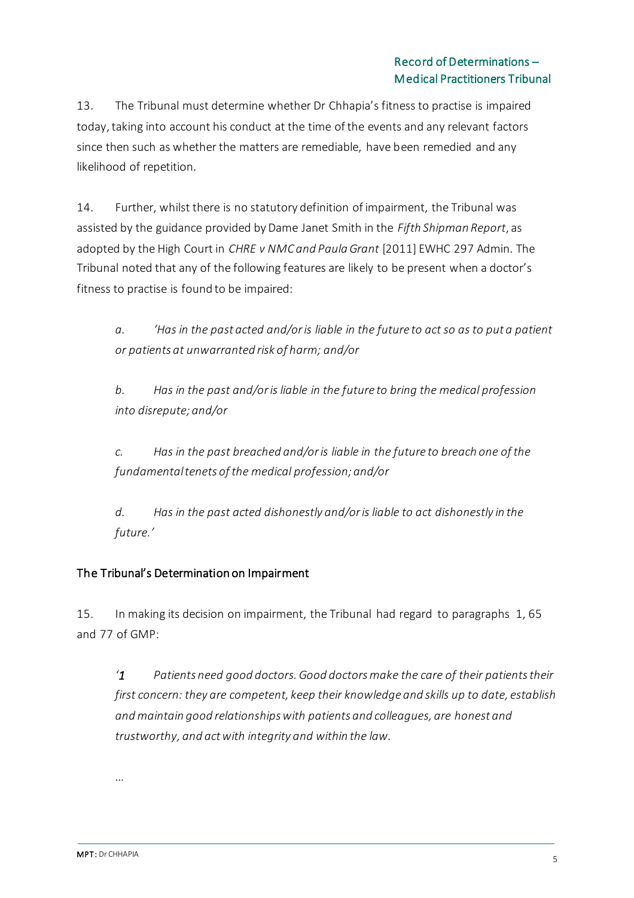13. The Tribunal must determine whether Dr Chhapia's fitness to practise is impaired today, taking into account his conduct at the time of the events and any relevant factors since then such as whether the matters are remediable, have been remedied and any likelihood of repetition.

14. Further, whilst there is no statutory definition of impairment, the Tribunal was assisted by the guidance provided by Dame Janet Smith in the *Fifth Shipman Report*, as adopted by the High Court in *CHRE v NMC and Paula Grant* [2011] EWHC 297 Admin*.* The Tribunal noted that any of the following features are likely to be present when a doctor's fitness to practise is found to be impaired:

*a. 'Has in the past acted and/or is liable in the future to act so as to put a patient or patients at unwarranted risk of harm; and/or*

*b. Has in the past and/or is liable in the future to bring the medical profession into disrepute; and/or*

*c. Has in the past breached and/or is liable in the future to breach one of the fundamental tenets of the medical profession; and/or*

*d. Has in the past acted dishonestly and/or is liable to act dishonestly in the future.'*

# The Tribunal's Determination on Impairment

15. In making its decision on impairment, the Tribunal had regard to paragraphs 1, 65 and 77 of GMP:

*'1 Patients need good doctors. Good doctors make the care of their patients their first concern: they are competent, keep their knowledge and skills up to date, establish and maintain good relationships with patients and colleagues, are honest and trustworthy, and act with integrity and within the law.*

…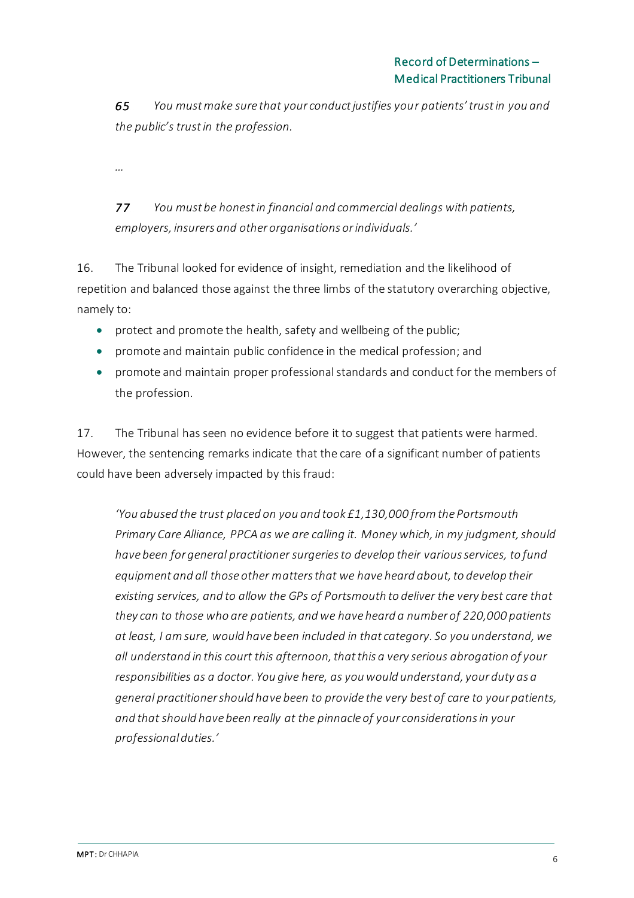*65 You must make sure that your conduct justifies your patients' trust in you and the public's trust in the profession.*

*…*

*77 You must be honest in financial and commercial dealings with patients, employers, insurers and other organisations or individuals.'*

16. The Tribunal looked for evidence of insight, remediation and the likelihood of repetition and balanced those against the three limbs of the statutory overarching objective, namely to:

- protect and promote the health, safety and wellbeing of the public;
- promote and maintain public confidence in the medical profession; and
- promote and maintain proper professional standards and conduct for the members of the profession.

17. The Tribunal has seen no evidence before it to suggest that patients were harmed. However, the sentencing remarks indicate that the care of a significant number of patients could have been adversely impacted by this fraud:

*'You abused the trust placed on you and took £1,130,000 from the Portsmouth Primary Care Alliance, PPCA as we are calling it. Money which, in my judgment, should have been for general practitioner surgeries to develop their various services, to fund equipment and all those other matters that we have heard about, to develop their existing services, and to allow the GPs of Portsmouth to deliver the very best care that they can to those who are patients, and we have heard a number of 220,000 patients at least, I am sure, would have been included in that category. So you understand, we all understand in this court this afternoon, that this a very serious abrogation of your responsibilities as a doctor. You give here, as you would understand, your duty as a general practitioner should have been to provide the very best of care to your patients, and that should have been really at the pinnacle of your considerations in your professional duties.'*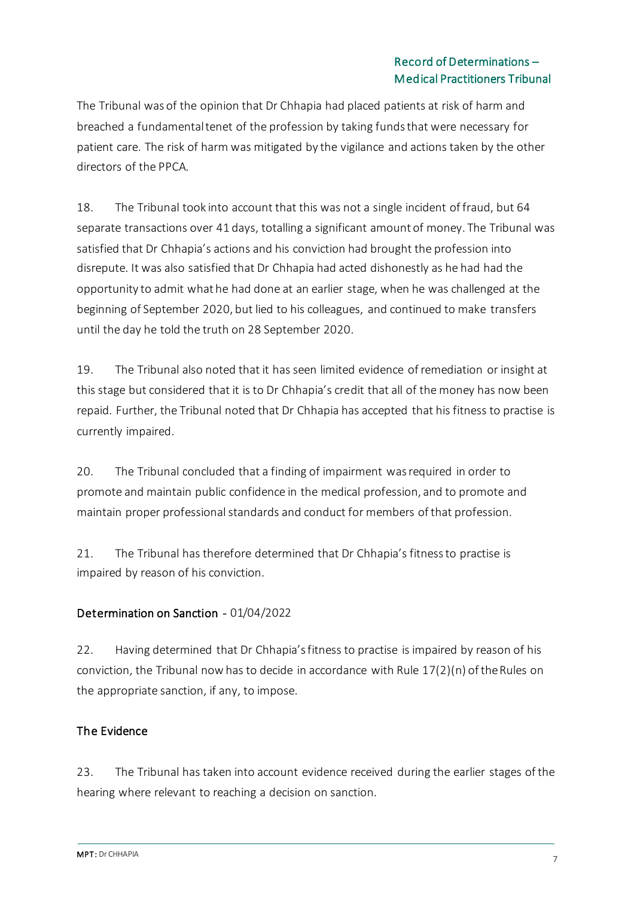The Tribunal was of the opinion that Dr Chhapia had placed patients at risk of harm and breached a fundamental tenet of the profession by taking funds that were necessary for patient care. The risk of harm was mitigated by the vigilance and actions taken by the other directors of the PPCA.

18. The Tribunal took into account that this was not a single incident of fraud, but 64 separate transactions over 41 days, totalling a significant amount of money. The Tribunal was satisfied that Dr Chhapia's actions and his conviction had brought the profession into disrepute. It was also satisfied that Dr Chhapia had acted dishonestly as he had had the opportunity to admit what he had done at an earlier stage, when he was challenged at the beginning of September 2020, but lied to his colleagues, and continued to make transfers until the day he told the truth on 28 September 2020.

19. The Tribunal also noted that it has seen limited evidence of remediation or insight at this stage but considered that it is to Dr Chhapia's credit that all of the money has now been repaid. Further, the Tribunal noted that Dr Chhapia has accepted that his fitness to practise is currently impaired.

20. The Tribunal concluded that a finding of impairment was required in order to promote and maintain public confidence in the medical profession, and to promote and maintain proper professional standards and conduct for members of that profession.

21. The Tribunal has therefore determined that Dr Chhapia's fitness to practise is impaired by reason of his conviction.

# Determination on Sanction - 01/04/2022

22. Having determined that Dr Chhapia's fitness to practise is impaired by reason of his conviction, the Tribunal now has to decide in accordance with Rule 17(2)(n) of the Rules on the appropriate sanction, if any, to impose.

#### The Evidence

23. The Tribunal has taken into account evidence received during the earlier stages of the hearing where relevant to reaching a decision on sanction.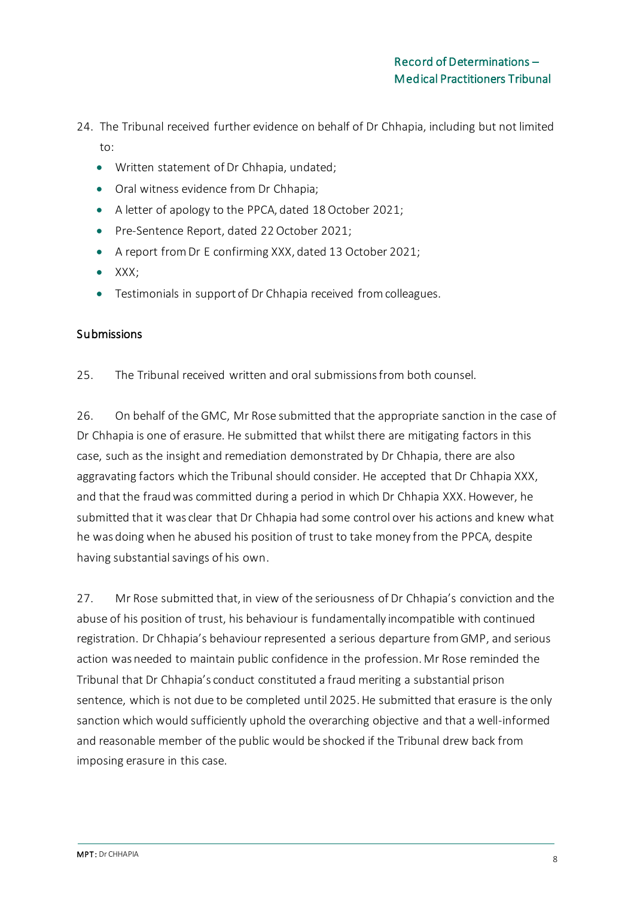- 24. The Tribunal received further evidence on behalf of Dr Chhapia, including but not limited to:
	- Written statement of Dr Chhapia, undated;
	- Oral witness evidence from Dr Chhapia;
	- A letter of apology to the PPCA, dated 18 October 2021;
	- Pre-Sentence Report, dated 22 October 2021;
	- A report from Dr E confirming XXX, dated 13 October 2021;
	- $\bullet$  XXX:
	- Testimonials in support of Dr Chhapia received from colleagues.

# Submissions

25. The Tribunal received written and oral submissions from both counsel.

26. On behalf of the GMC, Mr Rose submitted that the appropriate sanction in the case of Dr Chhapia is one of erasure. He submitted that whilst there are mitigating factors in this case, such as the insight and remediation demonstrated by Dr Chhapia, there are also aggravating factors which the Tribunal should consider. He accepted that Dr Chhapia XXX, and that the fraud was committed during a period in which Dr Chhapia XXX. However, he submitted that it was clear that Dr Chhapia had some control over his actions and knew what he was doing when he abused his position of trust to take money from the PPCA, despite having substantial savings of his own.

27. Mr Rose submitted that, in view of the seriousness of Dr Chhapia's conviction and the abuse of his position of trust, his behaviour is fundamentally incompatible with continued registration. Dr Chhapia's behaviour represented a serious departure from GMP, and serious action was needed to maintain public confidence in the profession. Mr Rose reminded the Tribunal that Dr Chhapia's conduct constituted a fraud meriting a substantial prison sentence, which is not due to be completed until 2025. He submitted that erasure is the only sanction which would sufficiently uphold the overarching objective and that a well-informed and reasonable member of the public would be shocked if the Tribunal drew back from imposing erasure in this case.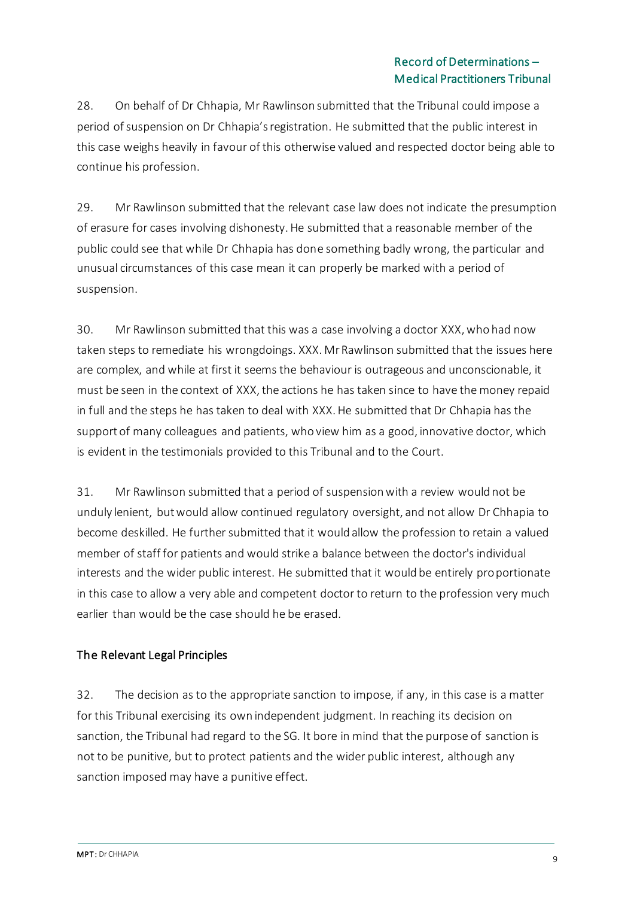28. On behalf of Dr Chhapia, Mr Rawlinson submitted that the Tribunal could impose a period of suspension on Dr Chhapia's registration. He submitted that the public interest in this case weighs heavily in favour of this otherwise valued and respected doctor being able to continue his profession.

29. Mr Rawlinson submitted that the relevant case law does not indicate the presumption of erasure for cases involving dishonesty. He submitted that a reasonable member of the public could see that while Dr Chhapia has done something badly wrong, the particular and unusual circumstances of this case mean it can properly be marked with a period of suspension.

30. Mr Rawlinson submitted that this was a case involving a doctor XXX, who had now taken steps to remediate his wrongdoings. XXX. Mr Rawlinson submitted that the issues here are complex, and while at first it seems the behaviour is outrageous and unconscionable, it must be seen in the context of XXX, the actions he has taken since to have the money repaid in full and the steps he has taken to deal with XXX. He submitted that Dr Chhapia has the support of many colleagues and patients, who view him as a good, innovative doctor, which is evident in the testimonials provided to this Tribunal and to the Court.

31. Mr Rawlinson submitted that a period of suspension with a review would not be unduly lenient, but would allow continued regulatory oversight, and not allow Dr Chhapia to become deskilled. He further submitted that it would allow the profession to retain a valued member of staff for patients and would strike a balance between the doctor's individual interests and the wider public interest. He submitted that it would be entirely proportionate in this case to allow a very able and competent doctor to return to the profession very much earlier than would be the case should he be erased.

# The Relevant Legal Principles

32. The decision as to the appropriate sanction to impose, if any, in this case is a matter for this Tribunal exercising its own independent judgment. In reaching its decision on sanction, the Tribunal had regard to the SG. It bore in mind that the purpose of sanction is not to be punitive, but to protect patients and the wider public interest, although any sanction imposed may have a punitive effect.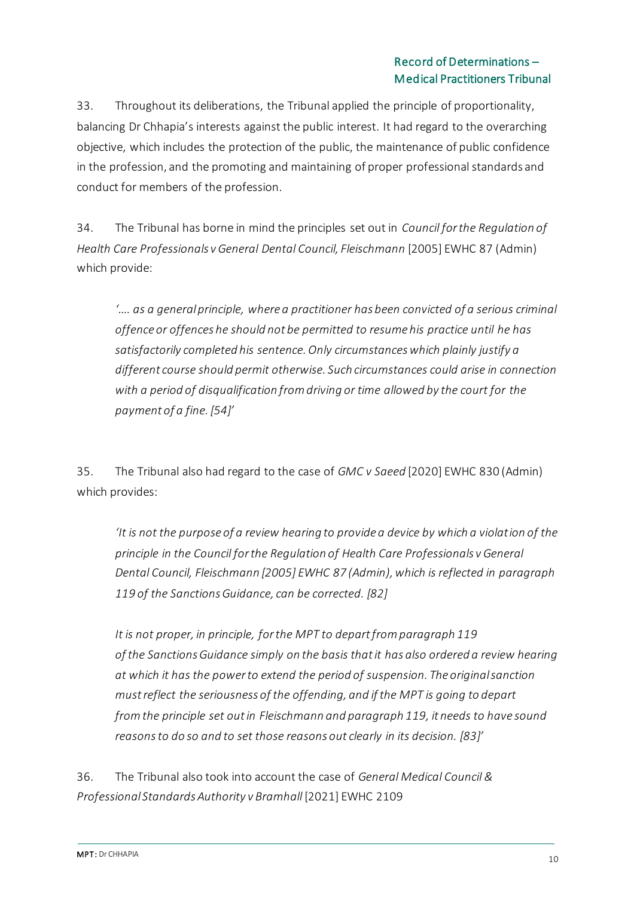33. Throughout its deliberations, the Tribunal applied the principle of proportionality, balancing Dr Chhapia's interests against the public interest. It had regard to the overarching objective, which includes the protection of the public, the maintenance of public confidence in the profession, and the promoting and maintaining of proper professional standards and conduct for members of the profession.

34. The Tribunal has borne in mind the principles set out in *Council for the Regulation of Health Care Professionals v General Dental Council, Fleischmann* [2005] EWHC 87 (Admin) which provide:

*'…. as a general principle, where a practitioner has been convicted of a serious criminal offence or offences he should not be permitted to resume his practice until he has satisfactorily completed his sentence. Only circumstances which plainly justify a different course should permit otherwise. Such circumstances could arise in connection with a period of disqualification from driving or time allowed by the court for the payment of a fine. [54]'*

35. The Tribunal also had regard to the case of *GMC v Saeed* [2020] EWHC 830 (Admin) which provides:

*'It is not the purpose of a review hearing to provide a device by which a violation of the principle in the Council for the Regulation of Health Care Professionals v General Dental Council, Fleischmann [2005] EWHC 87 (Admin), which is reflected in paragraph 119 of the Sanctions Guidance, can be corrected. [82]*

*It is not proper, in principle, forthe MPT to departfrom paragraph 119 of the Sanctions Guidance simply on the basis thatit has also ordered a review hearing at which it has the powerto extend the period of suspension. The original sanction must reflect the seriousness of the offending, and if the MPT is going to depart fromthe principle set outin Fleischmann and paragraph 119, it needs to have sound reasonsto do so and to set those reasons out clearly in its decision. [83]'*

36. The Tribunal also took into account the case of *General Medical Council & Professional Standards Authority v Bramhall* [2021] EWHC 2109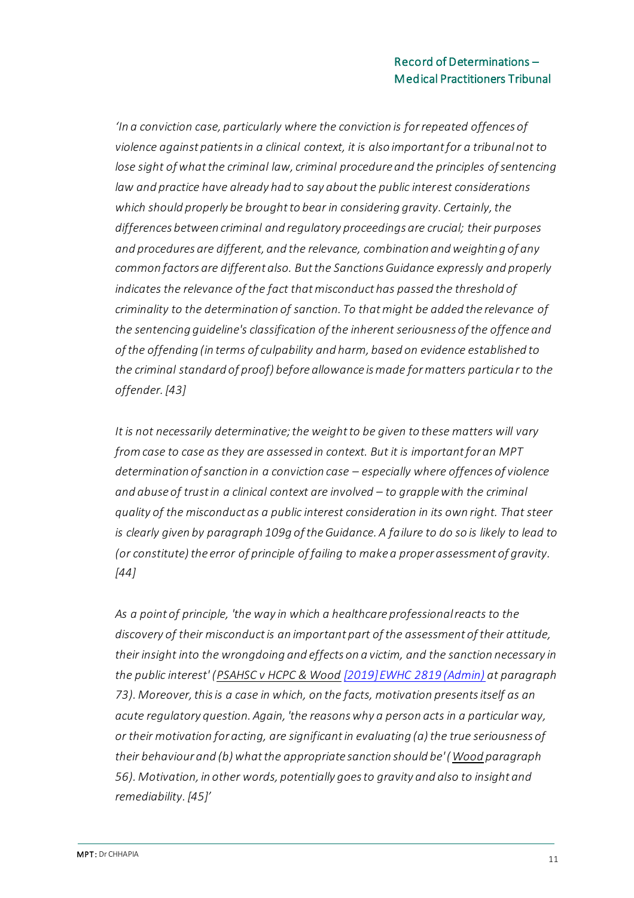*'In a conviction case, particularly where the conviction is for repeated offences of violence against patients in a clinical context, it is also important for a tribunal not to lose sight of what the criminal law, criminal procedure and the principles of sentencing law and practice have already had to say about the public interest considerations which should properly be brought to bear in considering gravity. Certainly, the differences between criminal and regulatory proceedings are crucial; their purposes and procedures are different, and the relevance, combination and weighting of any common factors are different also. But the Sanctions Guidance expressly and properly indicates the relevance of the fact that misconduct has passed the threshold of criminality to the determination of sanction. To that might be added the relevance of the sentencing guideline's classification of the inherent seriousness of the offence and of the offending (in terms of culpability and harm, based on evidence established to the criminal standard of proof) before allowance is made for matters particular to the offender. [43]*

*It is not necessarily determinative; the weight to be given to these matters will vary from case to case as they are assessed in context. But it is important for an MPT determination of sanction in a conviction case – especially where offences of violence and abuse of trust in a clinical context are involved – to grapple with the criminal quality of the misconduct as a public interest consideration in its own right. That steer is clearly given by paragraph 109g of the Guidance. A failure to do so is likely to lead to (or constitute) the error of principle of failing to make a proper assessment of gravity. [44]*

*As a point of principle, 'the way in which a healthcare professional reacts to the discovery of their misconduct is an important part of the assessment of their attitude, their insight into the wrongdoing and effects on a victim, and the sanction necessary in the public interest' (PSAHSC v HCPC & Wood [\[2019\] EWHC 2819 \(Admin\)](https://www.bailii.org/ew/cases/EWHC/Admin/2019/2819.html) at paragraph 73). Moreover, this is a case in which, on the facts, motivation presents itself as an acute regulatory question. Again, 'the reasons why a person acts in a particular way, or their motivation for acting, are significant in evaluating (a) the true seriousness of their behaviour and (b) what the appropriate sanction should be' (Wood paragraph 56). Motivation, in other words, potentially goes to gravity and also to insight and remediability. [45]'*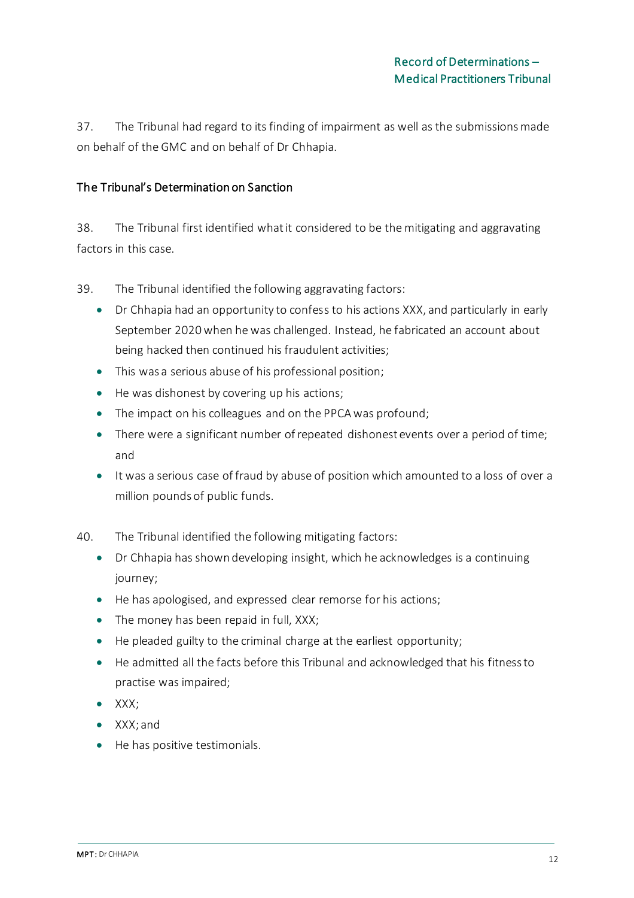37. The Tribunal had regard to its finding of impairment as well as the submissions made on behalf of the GMC and on behalf of Dr Chhapia.

#### The Tribunal's Determination on Sanction

38. The Tribunal first identified what it considered to be the mitigating and aggravating factors in this case.

39. The Tribunal identified the following aggravating factors:

- Dr Chhapia had an opportunity to confess to his actions XXX, and particularly in early September 2020 when he was challenged. Instead, he fabricated an account about being hacked then continued his fraudulent activities;
- This was a serious abuse of his professional position;
- He was dishonest by covering up his actions;
- The impact on his colleagues and on the PPCA was profound;
- There were a significant number of repeated dishonest events over a period of time; and
- It was a serious case of fraud by abuse of position which amounted to a loss of over a million pounds of public funds.
- 40. The Tribunal identified the following mitigating factors:
	- Dr Chhapia has shown developing insight, which he acknowledges is a continuing journey;
	- He has apologised, and expressed clear remorse for his actions;
	- The money has been repaid in full, XXX;
	- He pleaded guilty to the criminal charge at the earliest opportunity;
	- He admitted all the facts before this Tribunal and acknowledged that his fitness to practise was impaired;
	- XXX;
	- XXX; and
	- He has positive testimonials.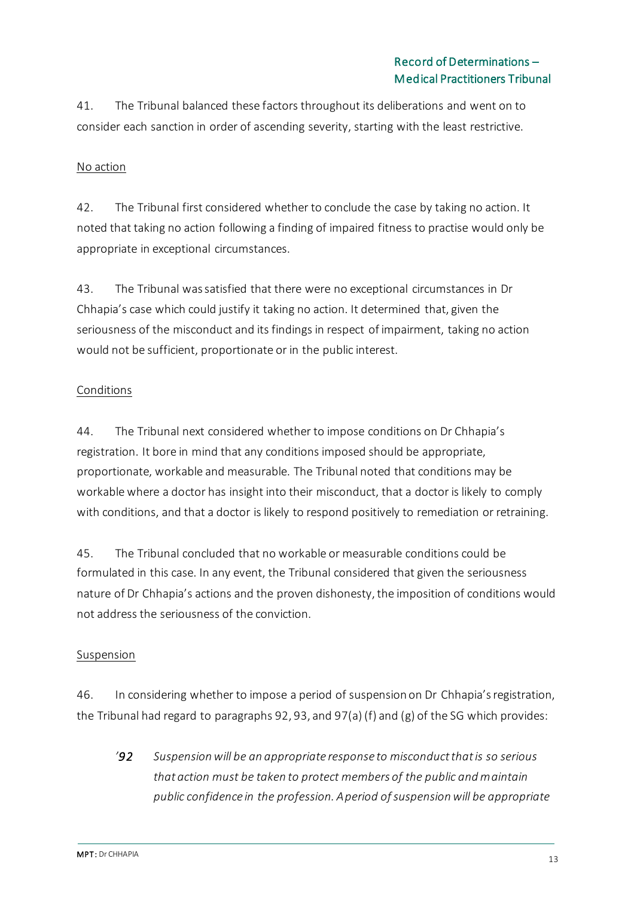41. The Tribunal balanced these factors throughout its deliberations and went on to consider each sanction in order of ascending severity, starting with the least restrictive.

## No action

42. The Tribunal first considered whether to conclude the case by taking no action. It noted that taking no action following a finding of impaired fitness to practise would only be appropriate in exceptional circumstances.

43. The Tribunal was satisfied that there were no exceptional circumstances in Dr Chhapia's case which could justify it taking no action. It determined that, given the seriousness of the misconduct and its findings in respect of impairment, taking no action would not be sufficient, proportionate or in the public interest.

## Conditions

44. The Tribunal next considered whether to impose conditions on Dr Chhapia's registration. It bore in mind that any conditions imposed should be appropriate, proportionate, workable and measurable. The Tribunal noted that conditions may be workable where a doctor has insight into their misconduct, that a doctor is likely to comply with conditions, and that a doctor is likely to respond positively to remediation or retraining.

45. The Tribunal concluded that no workable or measurable conditions could be formulated in this case. In any event, the Tribunal considered that given the seriousness nature of Dr Chhapia's actions and the proven dishonesty, the imposition of conditions would not address the seriousness of the conviction.

#### Suspension

46. In considering whether to impose a period of suspension on Dr Chhapia's registration, the Tribunal had regard to paragraphs 92, 93, and 97(a) (f) and (g) of the SG which provides:

*'92 Suspension will be an appropriate response to misconduct that is so serious that action must be taken to protect members of the public and maintain public confidence in the profession. A period of suspension will be appropriate*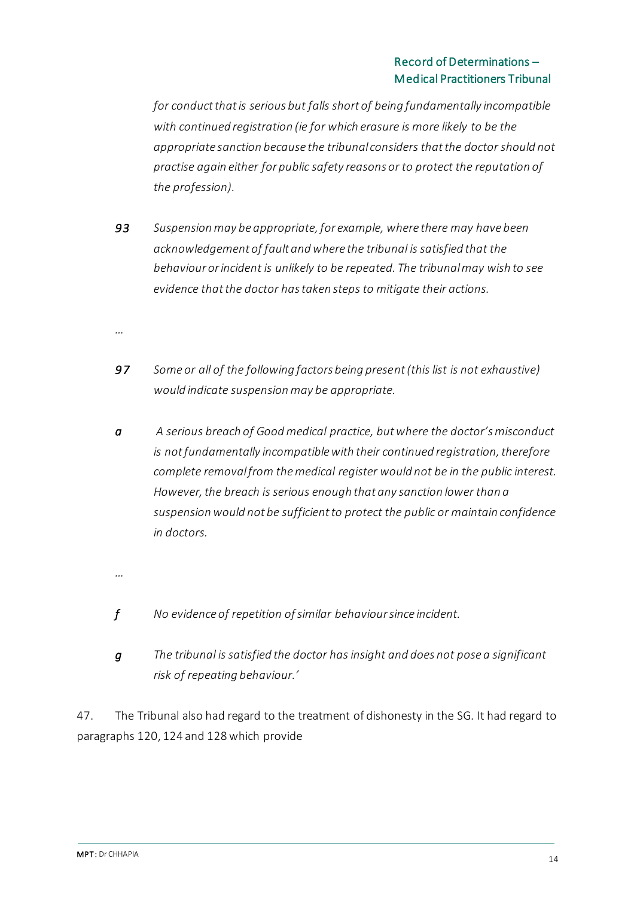*for conduct that is serious but falls short of being fundamentally incompatible with continued registration (ie for which erasure is more likely to be the appropriate sanction because the tribunal considers that the doctor should not practise again either for public safety reasons or to protect the reputation of the profession).*

- *93 Suspension may be appropriate, for example, where there may have been acknowledgement of fault and where the tribunal is satisfied that the behaviour or incident is unlikely to be repeated. The tribunal may wish to see evidence that the doctor has taken steps to mitigate their actions.*
- *…*
- *97 Some or all of the following factors being present (this list is not exhaustive) would indicate suspension may be appropriate.*
- *a A serious breach of Good medical practice, but where the doctor's misconduct is not fundamentally incompatible with their continued registration, therefore complete removal from the medical register would not be in the public interest. However, the breach is serious enough that any sanction lower than a suspension would not be sufficient to protect the public or maintain confidence in doctors.*
- *…*
- *f No evidence of repetition of similar behaviour since incident.*
- *g The tribunal is satisfied the doctor has insight and does not pose a significant risk of repeating behaviour.'*

47. The Tribunal also had regard to the treatment of dishonesty in the SG. It had regard to paragraphs 120, 124 and 128 which provide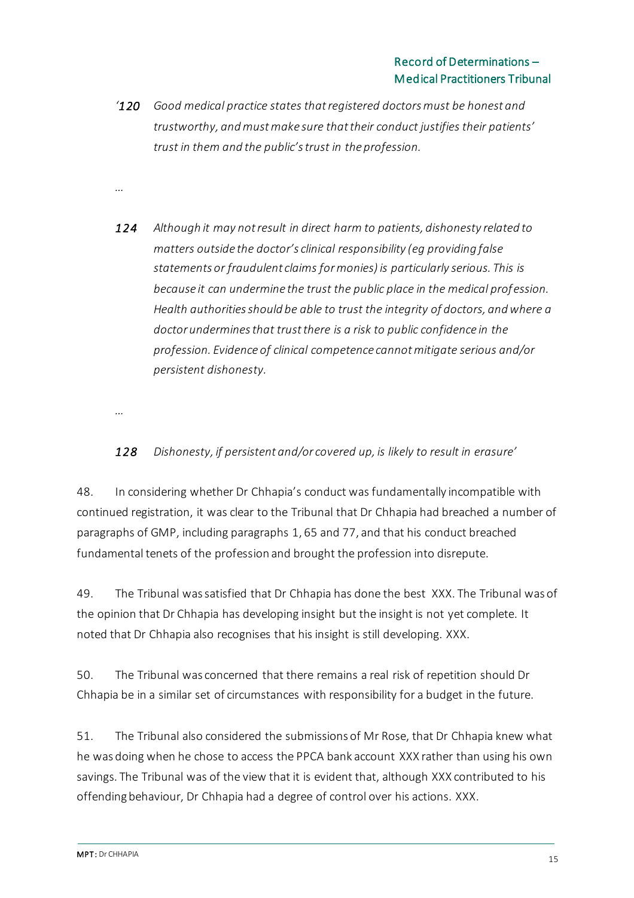*'120 Good medical practice states that registered doctors must be honest and trustworthy, and must make sure that their conduct justifies their patients' trust in them and the public's trust in the profession.*

*…*

*124 Although it may not result in direct harm to patients, dishonesty related to matters outside the doctor's clinical responsibility (eg providing false statements or fraudulent claims for monies) is particularly serious. This is because it can undermine the trust the public place in the medical profession. Health authorities should be able to trust the integrity of doctors, and where a doctor undermines that trust there is a risk to public confidence in the profession. Evidence of clinical competence cannot mitigate serious and/or persistent dishonesty.*

*…*

# *128 Dishonesty, if persistent and/or covered up, is likely to result in erasure'*

48. In considering whether Dr Chhapia's conduct was fundamentally incompatible with continued registration, it was clear to the Tribunal that Dr Chhapia had breached a number of paragraphs of GMP, including paragraphs 1, 65 and 77, and that his conduct breached fundamental tenets of the profession and brought the profession into disrepute.

49. The Tribunal was satisfied that Dr Chhapia has done the best XXX. The Tribunal was of the opinion that Dr Chhapia has developing insight but the insight is not yet complete. It noted that Dr Chhapia also recognises that his insight is still developing. XXX.

50. The Tribunal was concerned that there remains a real risk of repetition should Dr Chhapia be in a similar set of circumstances with responsibility for a budget in the future.

51. The Tribunal also considered the submissions of Mr Rose, that Dr Chhapia knew what he was doing when he chose to access the PPCA bank account XXX rather than using his own savings. The Tribunal was of the view that it is evident that, although XXX contributed to his offending behaviour, Dr Chhapia had a degree of control over his actions. XXX.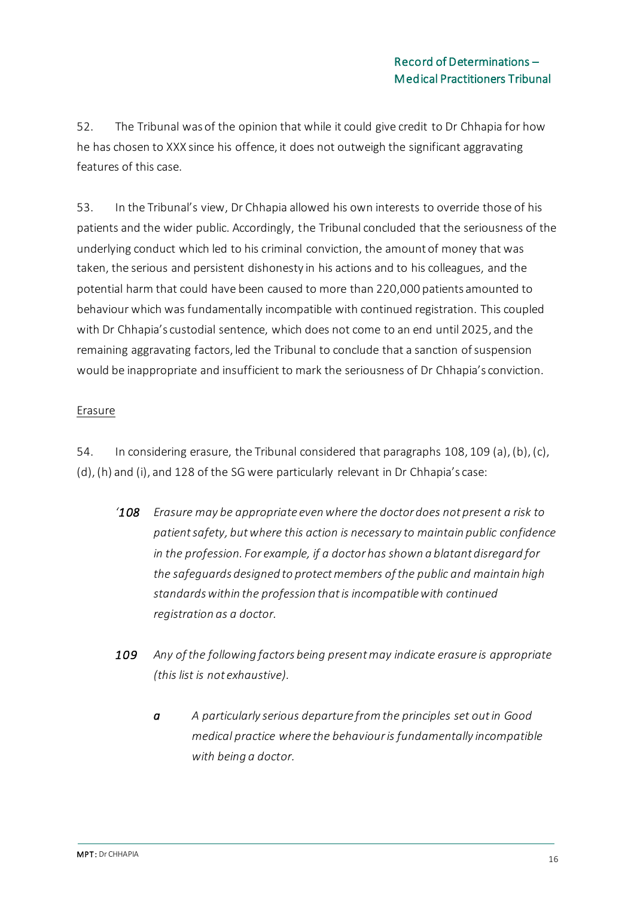52. The Tribunal was of the opinion that while it could give credit to Dr Chhapia for how he has chosen to XXX since his offence, it does not outweigh the significant aggravating features of this case.

53. In the Tribunal's view, Dr Chhapia allowed his own interests to override those of his patients and the wider public. Accordingly, the Tribunal concluded that the seriousness of the underlying conduct which led to his criminal conviction, the amount of money that was taken, the serious and persistent dishonesty in his actions and to his colleagues, and the potential harm that could have been caused to more than 220,000 patients amounted to behaviour which was fundamentally incompatible with continued registration. This coupled with Dr Chhapia's custodial sentence, which does not come to an end until 2025, and the remaining aggravating factors, led the Tribunal to conclude that a sanction of suspension would be inappropriate and insufficient to mark the seriousness of Dr Chhapia's conviction.

## Erasure

54. In considering erasure, the Tribunal considered that paragraphs 108, 109 (a), (b), (c), (d), (h) and (i), and 128 of the SG were particularly relevant in Dr Chhapia's case:

- *'108 Erasure may be appropriate even where the doctor does not present a risk to patient safety, but where this action is necessary to maintain public confidence in the profession. For example, if a doctor has shown a blatant disregard for the safeguards designed to protect members of the public and maintain high standards within the profession that is incompatible with continued registration as a doctor.*
- *109 Any of the following factors being present may indicate erasure is appropriate (this list is not exhaustive).*
	- *a A particularly serious departure from the principles set out in Good medical practice where the behaviour is fundamentally incompatible with being a doctor.*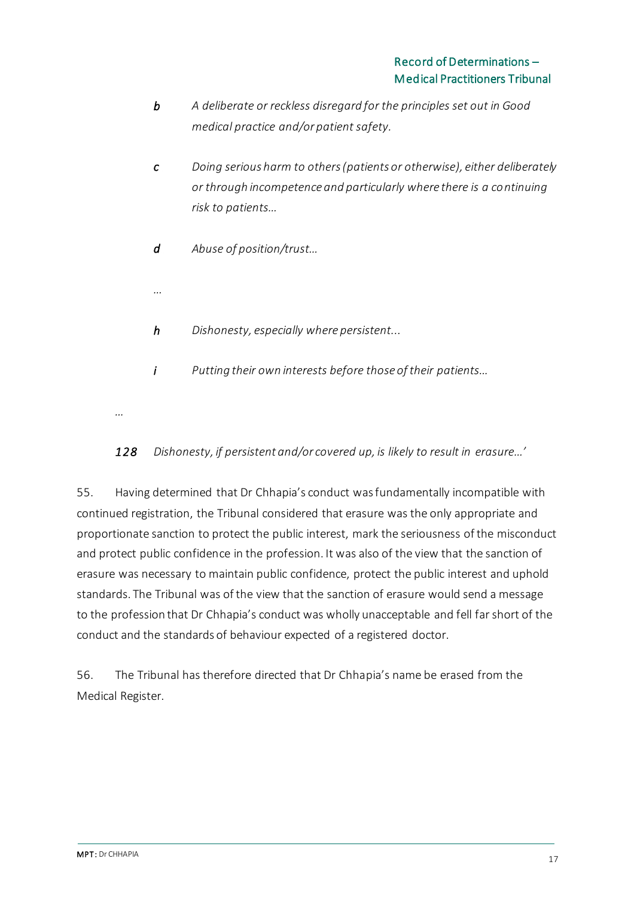- *b A deliberate or reckless disregard for the principles set out in Good medical practice and/or patient safety.*
- *c Doing serious harm to others (patients or otherwise), either deliberately or through incompetence and particularly where there is a continuing risk to patients…*
- *d Abuse of position/trust…*
- *h Dishonesty, especially where persistent...*
- *i Putting their own interests before those of their patients…*
- *…*

*…*

# 128 Dishonesty, if persistent and/or covered up, is likely to result in erasure...'

55. Having determined that Dr Chhapia's conduct was fundamentally incompatible with continued registration, the Tribunal considered that erasure was the only appropriate and proportionate sanction to protect the public interest, mark the seriousness of the misconduct and protect public confidence in the profession. It was also of the view that the sanction of erasure was necessary to maintain public confidence, protect the public interest and uphold standards. The Tribunal was of the view that the sanction of erasure would send a message to the profession that Dr Chhapia's conduct was wholly unacceptable and fell far short of the conduct and the standards of behaviour expected of a registered doctor.

56. The Tribunal has therefore directed that Dr Chhapia's name be erased from the Medical Register.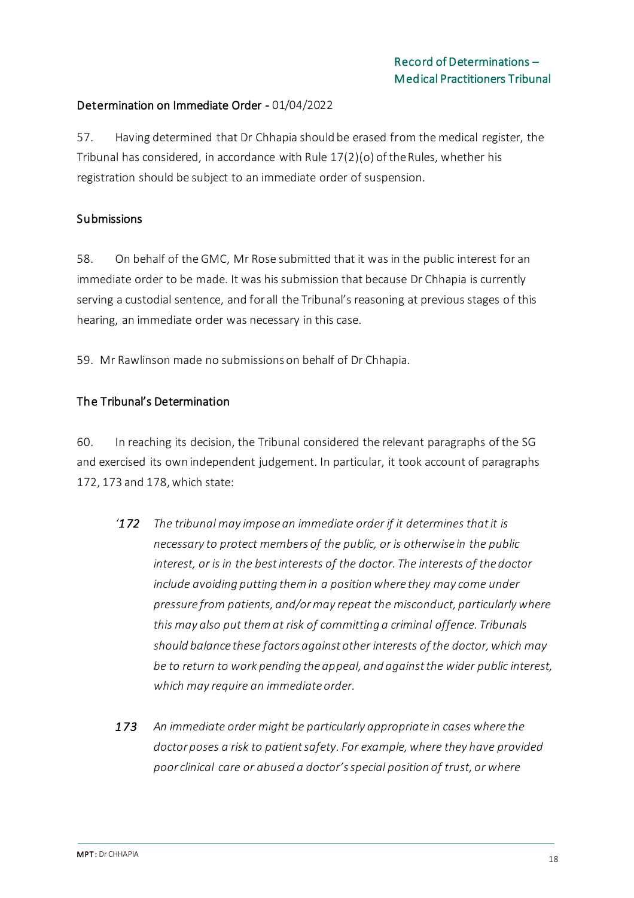## Determination on Immediate Order - 01/04/2022

57. Having determined that Dr Chhapia should be erased from the medical register, the Tribunal has considered, in accordance with Rule 17(2)(o) of the Rules, whether his registration should be subject to an immediate order of suspension.

#### **Submissions**

58. On behalf of the GMC, Mr Rose submitted that it was in the public interest for an immediate order to be made. It was his submission that because Dr Chhapia is currently serving a custodial sentence, and for all the Tribunal's reasoning at previous stages of this hearing, an immediate order was necessary in this case.

59. Mr Rawlinson made no submissions on behalf of Dr Chhapia.

#### The Tribunal's Determination

60. In reaching its decision, the Tribunal considered the relevant paragraphs of the SG and exercised its own independent judgement. In particular, it took account of paragraphs 172, 173 and 178, which state:

- *'172 The tribunal may impose an immediate order if it determines that it is necessary to protect members of the public, or is otherwise in the public interest, or is in the best interests of the doctor. The interests of the doctor include avoiding putting them in a position where they may come under pressure from patients, and/or may repeat the misconduct, particularly where this may also put them at risk of committing a criminal offence. Tribunals should balance these factors against other interests of the doctor, which may be to return to work pending the appeal, and against the wider public interest, which may require an immediate order.*
- *173 An immediate order might be particularly appropriate in cases where the doctor poses a risk to patient safety. For example, where they have provided poor clinical care or abused a doctor's special position of trust, or where*